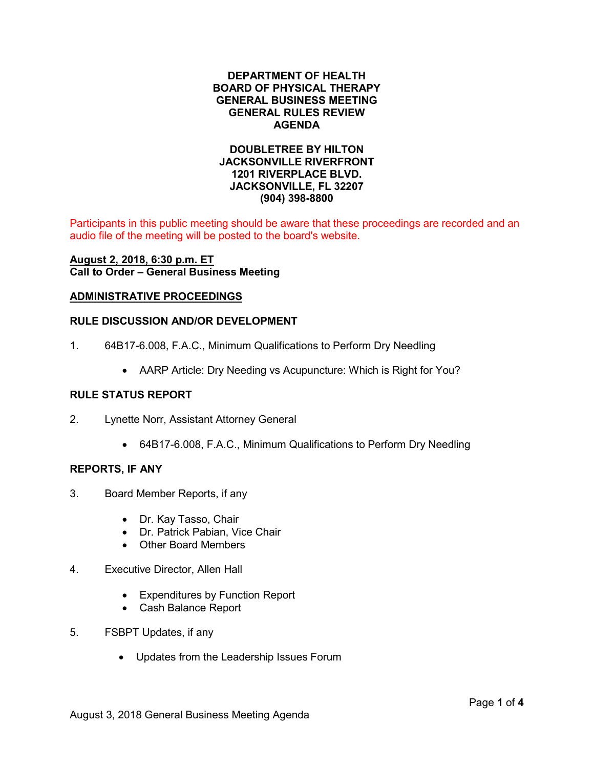# **DEPARTMENT OF HEALTH BOARD OF PHYSICAL THERAPY GENERAL BUSINESS MEETING GENERAL RULES REVIEW AGENDA**

# **DOUBLETREE BY HILTON JACKSONVILLE RIVERFRONT 1201 RIVERPLACE BLVD. JACKSONVILLE, FL 32207 (904) 398-8800**

Participants in this public meeting should be aware that these proceedings are recorded and an audio file of the meeting will be posted to the board's website.

# **August 2, 2018, 6:30 p.m. ET Call to Order – General Business Meeting**

### **ADMINISTRATIVE PROCEEDINGS**

# **RULE DISCUSSION AND/OR DEVELOPMENT**

- 1. 64B17-6.008, F.A.C., Minimum Qualifications to Perform Dry Needling
	- AARP Article: Dry Needing vs Acupuncture: Which is Right for You?

## **RULE STATUS REPORT**

- 2. Lynette Norr, Assistant Attorney General
	- 64B17-6.008, F.A.C., Minimum Qualifications to Perform Dry Needling

### **REPORTS, IF ANY**

- 3. Board Member Reports, if any
	- Dr. Kay Tasso, Chair
	- Dr. Patrick Pabian, Vice Chair
	- Other Board Members
- 4. Executive Director, Allen Hall
	- Expenditures by Function Report
	- Cash Balance Report
- 5. FSBPT Updates, if any
	- Updates from the Leadership Issues Forum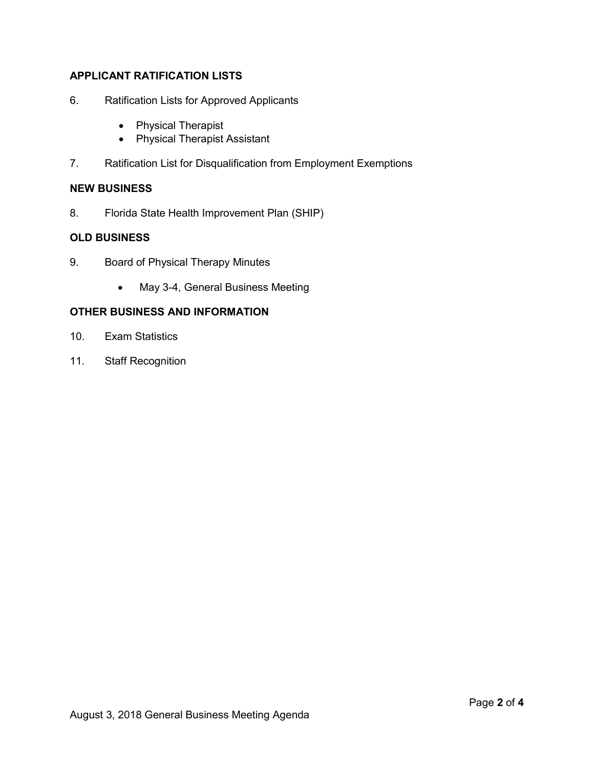# **APPLICANT RATIFICATION LISTS**

- 6. Ratification Lists for Approved Applicants
	- Physical Therapist
	- Physical Therapist Assistant
- 7. Ratification List for Disqualification from Employment Exemptions

# **NEW BUSINESS**

8. Florida State Health Improvement Plan (SHIP)

# **OLD BUSINESS**

- 9. Board of Physical Therapy Minutes
	- May 3-4, General Business Meeting

# **OTHER BUSINESS AND INFORMATION**

- 10. Exam Statistics
- 11. Staff Recognition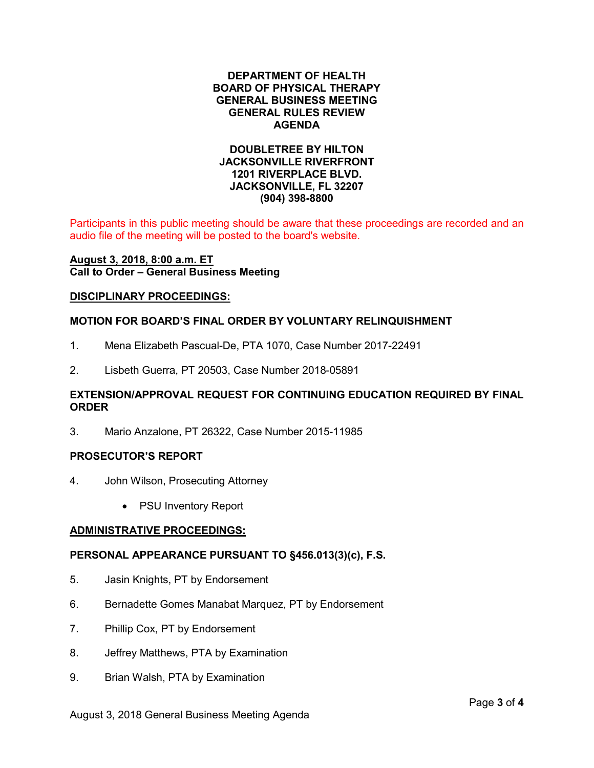# **DEPARTMENT OF HEALTH BOARD OF PHYSICAL THERAPY GENERAL BUSINESS MEETING GENERAL RULES REVIEW AGENDA**

# **DOUBLETREE BY HILTON JACKSONVILLE RIVERFRONT 1201 RIVERPLACE BLVD. JACKSONVILLE, FL 32207 (904) 398-8800**

Participants in this public meeting should be aware that these proceedings are recorded and an audio file of the meeting will be posted to the board's website.

### **August 3, 2018, 8:00 a.m. ET Call to Order – General Business Meeting**

### **DISCIPLINARY PROCEEDINGS:**

## **MOTION FOR BOARD'S FINAL ORDER BY VOLUNTARY RELINQUISHMENT**

- 1. Mena Elizabeth Pascual-De, PTA 1070, Case Number 2017-22491
- 2. Lisbeth Guerra, PT 20503, Case Number 2018-05891

# **EXTENSION/APPROVAL REQUEST FOR CONTINUING EDUCATION REQUIRED BY FINAL ORDER**

3. Mario Anzalone, PT 26322, Case Number 2015-11985

#### **PROSECUTOR'S REPORT**

- 4. John Wilson, Prosecuting Attorney
	- PSU Inventory Report

### **ADMINISTRATIVE PROCEEDINGS:**

### **PERSONAL APPEARANCE PURSUANT TO §456.013(3)(c), F.S.**

- 5. Jasin Knights, PT by Endorsement
- 6. Bernadette Gomes Manabat Marquez, PT by Endorsement
- 7. Phillip Cox, PT by Endorsement
- 8. Jeffrey Matthews, PTA by Examination
- 9. Brian Walsh, PTA by Examination